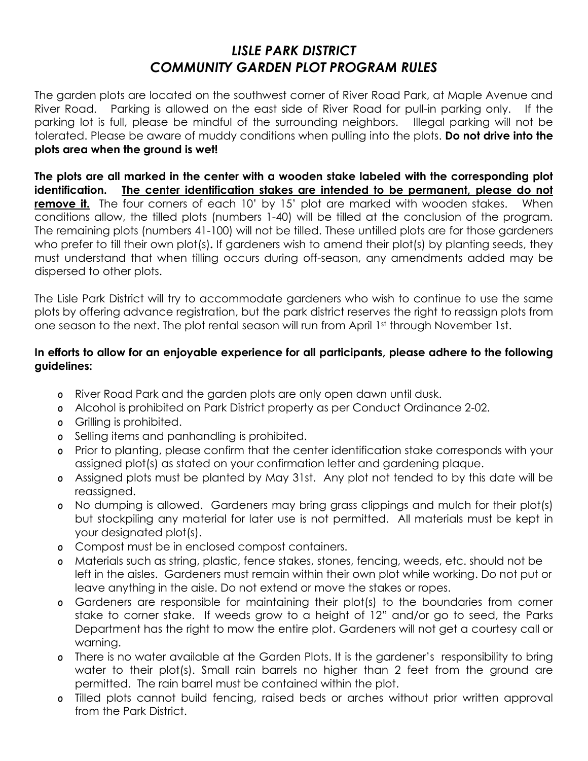## *LISLE PARK DISTRICT COMMUNITY GARDEN PLOT PROGRAM RULES*

The garden plots are located on the southwest corner of River Road Park, at Maple Avenue and River Road. Parking is allowed on the east side of River Road for pull-in parking only. If the parking lot is full, please be mindful of the surrounding neighbors. Illegal parking will not be tolerated. Please be aware of muddy conditions when pulling into the plots. **Do not drive into the plots area when the ground is wet!**

**The plots are all marked in the center with a wooden stake labeled with the corresponding plot identification. The center identification stakes are intended to be permanent, please do not remove it.** The four corners of each 10' by 15' plot are marked with wooden stakes. When conditions allow, the tilled plots (numbers 1-40) will be tilled at the conclusion of the program. The remaining plots (numbers 41-100) will not be tilled. These untilled plots are for those gardeners who prefer to till their own plot(s)**.** If gardeners wish to amend their plot(s) by planting seeds, they must understand that when tilling occurs during off-season, any amendments added may be dispersed to other plots.

The Lisle Park District will try to accommodate gardeners who wish to continue to use the same plots by offering advance registration, but the park district reserves the right to reassign plots from one season to the next. The plot rental season will run from April 1st through November 1st.

## **In efforts to allow for an enjoyable experience for all participants, please adhere to the following guidelines:**

- o River Road Park and the garden plots are only open dawn until dusk.
- o Alcohol is prohibited on Park District property as per Conduct Ordinance 2-02.
- o Grilling is prohibited.
- o Selling items and panhandling is prohibited.
- o Prior to planting, please confirm that the center identification stake corresponds with your assigned plot(s) as stated on your confirmation letter and gardening plaque.
- o Assigned plots must be planted by May 31st. Any plot not tended to by this date will be reassigned.
- o No dumping is allowed. Gardeners may bring grass clippings and mulch for their plot(s) but stockpiling any material for later use is not permitted. All materials must be kept in your designated plot(s).
- o Compost must be in enclosed compost containers.
- o Materials such as string, plastic, fence stakes, stones, fencing, weeds, etc. should not be left in the aisles. Gardeners must remain within their own plot while working. Do not put or leave anything in the aisle. Do not extend or move the stakes or ropes.
- o Gardeners are responsible for maintaining their plot(s) to the boundaries from corner stake to corner stake. If weeds grow to a height of 12" and/or go to seed, the Parks Department has the right to mow the entire plot. Gardeners will not get a courtesy call or warning.
- o There is no water available at the Garden Plots. It is the gardener's responsibility to bring water to their plot(s). Small rain barrels no higher than 2 feet from the ground are permitted. The rain barrel must be contained within the plot.
- o Tilled plots cannot build fencing, raised beds or arches without prior written approval from the Park District.